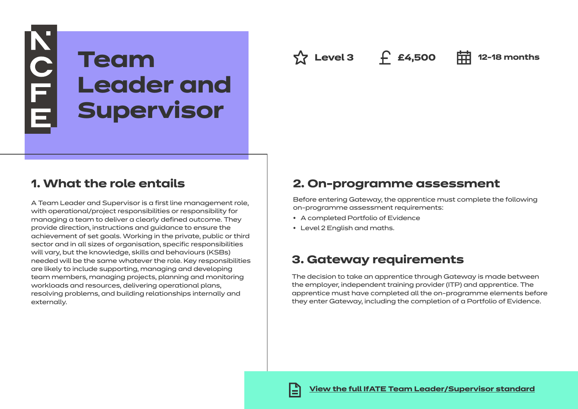# **KOLE Team Leader and Supervisor**

**Level 3 £4,500 12-18 months**

# **1. What the role entails**

A Team Leader and Supervisor is a first line management role, with operational/project responsibilities or responsibility for managing a team to deliver a clearly defined outcome. They provide direction, instructions and guidance to ensure the achievement of set goals. Working in the private, public or third sector and in all sizes of organisation, specific responsibilities will vary, but the knowledge, skills and behaviours (KSBs) needed will be the same whatever the role. Key responsibilities are likely to include supporting, managing and developing team members, managing projects, planning and monitoring workloads and resources, delivering operational plans, resolving problems, and building relationships internally and externally.

# **2. On-programme assessment**

Before entering Gateway, the apprentice must complete the following on-programme assessment requirements:

- A completed Portfolio of Evidence
- Level 2 English and maths.

# **3. Gateway requirements**

The decision to take an apprentice through Gateway is made between the employer, independent training provider (ITP) and apprentice. The apprentice must have completed all the on-programme elements before they enter Gateway, including the completion of a Portfolio of Evidence.